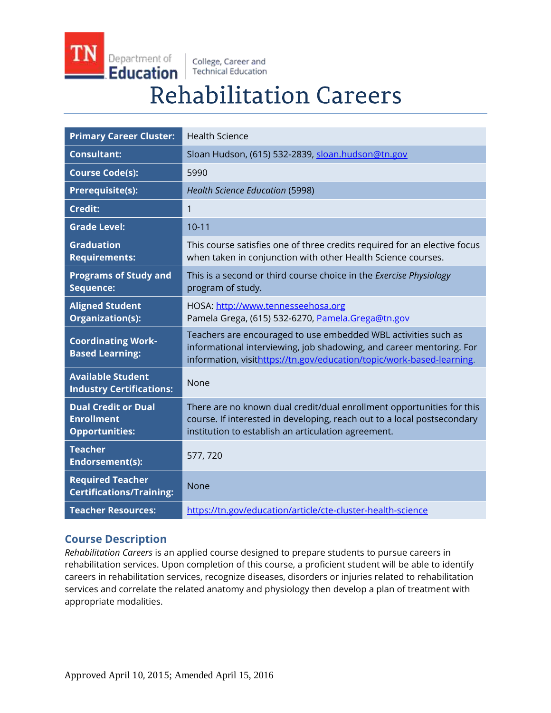Department of **Education** 

College, Career and **Technical Education** 

# **Rehabilitation Careers**

| <b>Primary Career Cluster:</b>                                           | <b>Health Science</b>                                                                                                                                                                                           |
|--------------------------------------------------------------------------|-----------------------------------------------------------------------------------------------------------------------------------------------------------------------------------------------------------------|
| <b>Consultant:</b>                                                       | Sloan Hudson, (615) 532-2839, sloan.hudson@tn.gov                                                                                                                                                               |
| <b>Course Code(s):</b>                                                   | 5990                                                                                                                                                                                                            |
| Prerequisite(s):                                                         | <b>Health Science Education (5998)</b>                                                                                                                                                                          |
| <b>Credit:</b>                                                           | $\mathbf{1}$                                                                                                                                                                                                    |
| <b>Grade Level:</b>                                                      | $10 - 11$                                                                                                                                                                                                       |
| <b>Graduation</b><br><b>Requirements:</b>                                | This course satisfies one of three credits required for an elective focus<br>when taken in conjunction with other Health Science courses.                                                                       |
| <b>Programs of Study and</b><br>Sequence:                                | This is a second or third course choice in the Exercise Physiology<br>program of study.                                                                                                                         |
| <b>Aligned Student</b><br>Organization(s):                               | HOSA: http://www.tennesseehosa.org<br>Pamela Grega, (615) 532-6270, Pamela.Grega@tn.gov                                                                                                                         |
| <b>Coordinating Work-</b><br><b>Based Learning:</b>                      | Teachers are encouraged to use embedded WBL activities such as<br>informational interviewing, job shadowing, and career mentoring. For<br>information, visithttps://tn.gov/education/topic/work-based-learning. |
| <b>Available Student</b><br><b>Industry Certifications:</b>              | None                                                                                                                                                                                                            |
| <b>Dual Credit or Dual</b><br><b>Enrollment</b><br><b>Opportunities:</b> | There are no known dual credit/dual enrollment opportunities for this<br>course. If interested in developing, reach out to a local postsecondary<br>institution to establish an articulation agreement.         |
| <b>Teacher</b><br>Endorsement(s):                                        | 577, 720                                                                                                                                                                                                        |
| <b>Required Teacher</b><br><b>Certifications/Training:</b>               | None                                                                                                                                                                                                            |
| <b>Teacher Resources:</b>                                                | https://tn.gov/education/article/cte-cluster-health-science                                                                                                                                                     |

## **Course Description**

*Rehabilitation Careers* is an applied course designed to prepare students to pursue careers in rehabilitation services. Upon completion of this course, a proficient student will be able to identify careers in rehabilitation services, recognize diseases, disorders or injuries related to rehabilitation services and correlate the related anatomy and physiology then develop a plan of treatment with appropriate modalities.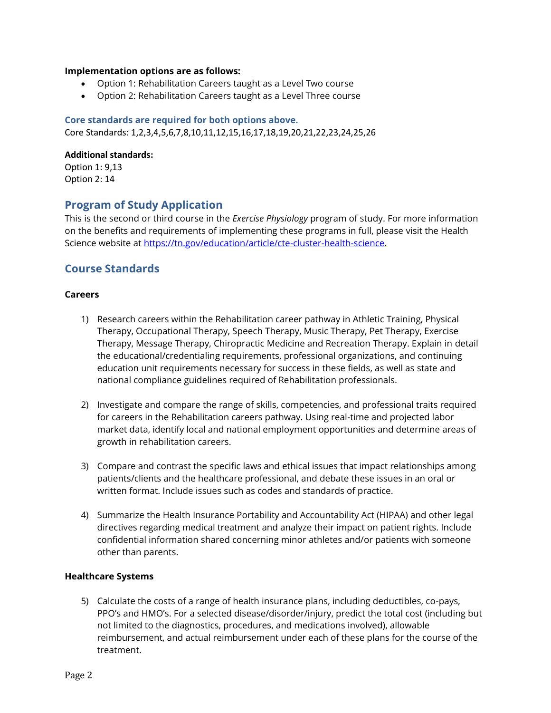#### **Implementation options are as follows:**

- Option 1: Rehabilitation Careers taught as a Level Two course
- Option 2: Rehabilitation Careers taught as a Level Three course

#### **Core standards are required for both options above.**

Core Standards: 1,2,3,4,5,6,7,8,10,11,12,15,16,17,18,19,20,21,22,23,24,25,26

#### **Additional standards:**

Option 1: 9,13 Option 2: 14

## **Program of Study Application**

This is the second or third course in the *Exercise Physiology* program of study. For more information on the benefits and requirements of implementing these programs in full, please visit the Health Science website at [https://tn.gov/education/article/cte-cluster-health-science.](https://tn.gov/education/article/cte-cluster-health-science)

## **Course Standards**

#### **Careers**

- 1) Research careers within the Rehabilitation career pathway in Athletic Training, Physical Therapy, Occupational Therapy, Speech Therapy, Music Therapy, Pet Therapy, Exercise Therapy, Message Therapy, Chiropractic Medicine and Recreation Therapy. Explain in detail the educational/credentialing requirements, professional organizations, and continuing education unit requirements necessary for success in these fields, as well as state and national compliance guidelines required of Rehabilitation professionals.
- 2) Investigate and compare the range of skills, competencies, and professional traits required for careers in the Rehabilitation careers pathway. Using real-time and projected labor market data, identify local and national employment opportunities and determine areas of growth in rehabilitation careers.
- 3) Compare and contrast the specific laws and ethical issues that impact relationships among patients/clients and the healthcare professional, and debate these issues in an oral or written format. Include issues such as codes and standards of practice.
- 4) Summarize the Health Insurance Portability and Accountability Act (HIPAA) and other legal directives regarding medical treatment and analyze their impact on patient rights. Include confidential information shared concerning minor athletes and/or patients with someone other than parents.

#### **Healthcare Systems**

5) Calculate the costs of a range of health insurance plans, including deductibles, co-pays, PPO's and HMO's. For a selected disease/disorder/injury, predict the total cost (including but not limited to the diagnostics, procedures, and medications involved), allowable reimbursement, and actual reimbursement under each of these plans for the course of the treatment.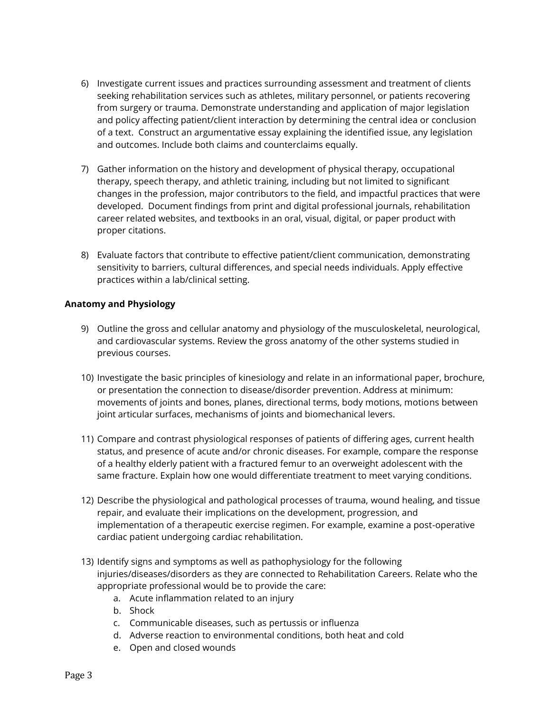- 6) Investigate current issues and practices surrounding assessment and treatment of clients seeking rehabilitation services such as athletes, military personnel, or patients recovering from surgery or trauma. Demonstrate understanding and application of major legislation and policy affecting patient/client interaction by determining the central idea or conclusion of a text. Construct an argumentative essay explaining the identified issue, any legislation and outcomes. Include both claims and counterclaims equally.
- 7) Gather information on the history and development of physical therapy, occupational therapy, speech therapy, and athletic training, including but not limited to significant changes in the profession, major contributors to the field, and impactful practices that were developed. Document findings from print and digital professional journals, rehabilitation career related websites, and textbooks in an oral, visual, digital, or paper product with proper citations.
- 8) Evaluate factors that contribute to effective patient/client communication, demonstrating sensitivity to barriers, cultural differences, and special needs individuals. Apply effective practices within a lab/clinical setting.

#### **Anatomy and Physiology**

- 9) Outline the gross and cellular anatomy and physiology of the musculoskeletal, neurological, and cardiovascular systems. Review the gross anatomy of the other systems studied in previous courses.
- 10) Investigate the basic principles of kinesiology and relate in an informational paper, brochure, or presentation the connection to disease/disorder prevention. Address at minimum: movements of joints and bones, planes, directional terms, body motions, motions between joint articular surfaces, mechanisms of joints and biomechanical levers.
- 11) Compare and contrast physiological responses of patients of differing ages, current health status, and presence of acute and/or chronic diseases. For example, compare the response of a healthy elderly patient with a fractured femur to an overweight adolescent with the same fracture. Explain how one would differentiate treatment to meet varying conditions.
- 12) Describe the physiological and pathological processes of trauma, wound healing, and tissue repair, and evaluate their implications on the development, progression, and implementation of a therapeutic exercise regimen. For example, examine a post-operative cardiac patient undergoing cardiac rehabilitation.
- 13) Identify signs and symptoms as well as pathophysiology for the following injuries/diseases/disorders as they are connected to Rehabilitation Careers. Relate who the appropriate professional would be to provide the care:
	- a. Acute inflammation related to an injury
	- b. Shock
	- c. Communicable diseases, such as pertussis or influenza
	- d. Adverse reaction to environmental conditions, both heat and cold
	- e. Open and closed wounds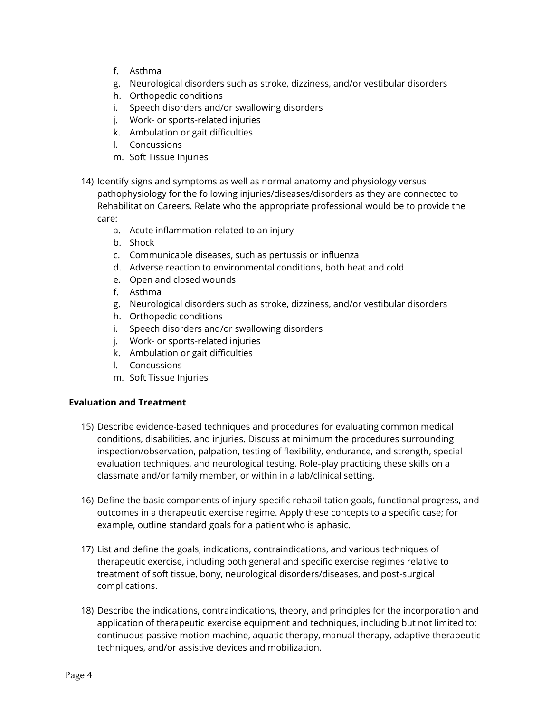- f. Asthma
- g. Neurological disorders such as stroke, dizziness, and/or vestibular disorders
- h. Orthopedic conditions
- i. Speech disorders and/or swallowing disorders
- j. Work- or sports-related injuries
- k. Ambulation or gait difficulties
- l. Concussions
- m. Soft Tissue Injuries
- 14) Identify signs and symptoms as well as normal anatomy and physiology versus pathophysiology for the following injuries/diseases/disorders as they are connected to Rehabilitation Careers. Relate who the appropriate professional would be to provide the care:
	- a. Acute inflammation related to an injury
	- b. Shock
	- c. Communicable diseases, such as pertussis or influenza
	- d. Adverse reaction to environmental conditions, both heat and cold
	- e. Open and closed wounds
	- f. Asthma
	- g. Neurological disorders such as stroke, dizziness, and/or vestibular disorders
	- h. Orthopedic conditions
	- i. Speech disorders and/or swallowing disorders
	- j. Work- or sports-related injuries
	- k. Ambulation or gait difficulties
	- l. Concussions
	- m. Soft Tissue Injuries

### **Evaluation and Treatment**

- 15) Describe evidence-based techniques and procedures for evaluating common medical conditions, disabilities, and injuries. Discuss at minimum the procedures surrounding inspection/observation, palpation, testing of flexibility, endurance, and strength, special evaluation techniques, and neurological testing. Role-play practicing these skills on a classmate and/or family member, or within in a lab/clinical setting.
- 16) Define the basic components of injury-specific rehabilitation goals, functional progress, and outcomes in a therapeutic exercise regime. Apply these concepts to a specific case; for example, outline standard goals for a patient who is aphasic.
- 17) List and define the goals, indications, contraindications, and various techniques of therapeutic exercise, including both general and specific exercise regimes relative to treatment of soft tissue, bony, neurological disorders/diseases, and post-surgical complications.
- 18) Describe the indications, contraindications, theory, and principles for the incorporation and application of therapeutic exercise equipment and techniques, including but not limited to: continuous passive motion machine, aquatic therapy, manual therapy, adaptive therapeutic techniques, and/or assistive devices and mobilization.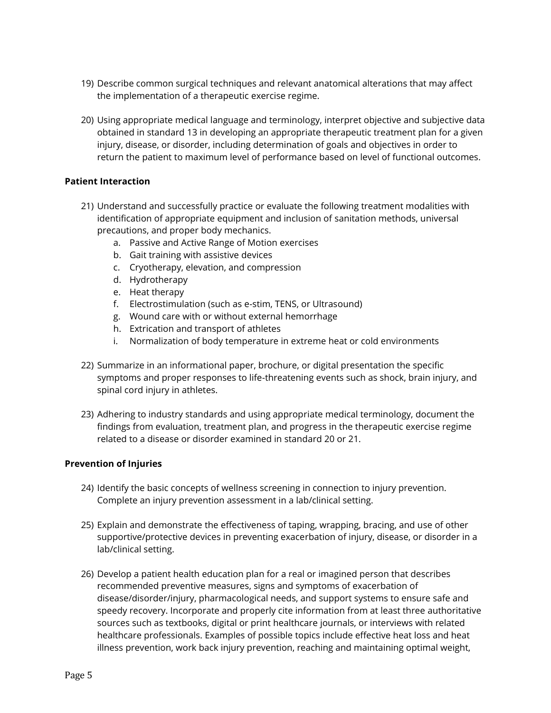- 19) Describe common surgical techniques and relevant anatomical alterations that may affect the implementation of a therapeutic exercise regime.
- 20) Using appropriate medical language and terminology, interpret objective and subjective data obtained in standard 13 in developing an appropriate therapeutic treatment plan for a given injury, disease, or disorder, including determination of goals and objectives in order to return the patient to maximum level of performance based on level of functional outcomes.

#### **Patient Interaction**

- 21) Understand and successfully practice or evaluate the following treatment modalities with identification of appropriate equipment and inclusion of sanitation methods, universal precautions, and proper body mechanics.
	- a. Passive and Active Range of Motion exercises
	- b. Gait training with assistive devices
	- c. Cryotherapy, elevation, and compression
	- d. Hydrotherapy
	- e. Heat therapy
	- f. Electrostimulation (such as e-stim, TENS, or Ultrasound)
	- g. Wound care with or without external hemorrhage
	- h. Extrication and transport of athletes
	- i. Normalization of body temperature in extreme heat or cold environments
- 22) Summarize in an informational paper, brochure, or digital presentation the specific symptoms and proper responses to life-threatening events such as shock, brain injury, and spinal cord injury in athletes.
- 23) Adhering to industry standards and using appropriate medical terminology, document the findings from evaluation, treatment plan, and progress in the therapeutic exercise regime related to a disease or disorder examined in standard 20 or 21.

#### **Prevention of Injuries**

- 24) Identify the basic concepts of wellness screening in connection to injury prevention. Complete an injury prevention assessment in a lab/clinical setting.
- 25) Explain and demonstrate the effectiveness of taping, wrapping, bracing, and use of other supportive/protective devices in preventing exacerbation of injury, disease, or disorder in a lab/clinical setting.
- 26) Develop a patient health education plan for a real or imagined person that describes recommended preventive measures, signs and symptoms of exacerbation of disease/disorder/injury, pharmacological needs, and support systems to ensure safe and speedy recovery. Incorporate and properly cite information from at least three authoritative sources such as textbooks, digital or print healthcare journals, or interviews with related healthcare professionals. Examples of possible topics include effective heat loss and heat illness prevention, work back injury prevention, reaching and maintaining optimal weight,